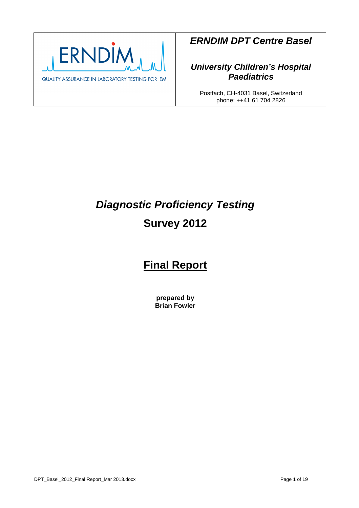

**ERNDIM DPT Centre Basel** 

## **University Children's Hospital Paediatrics**

Postfach, CH-4031 Basel, Switzerland phone: ++41 61 704 2826

# **Diagnostic Proficiency Testing Survey 2012**

## **Final Report**

**prepared by Brian Fowler**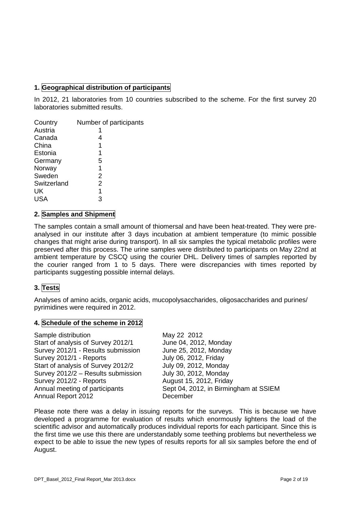## **1. Geographical distribution of participants**

In 2012, 21 laboratories from 10 countries subscribed to the scheme. For the first survey 20 laboratories submitted results.

| Country     | Number of participants |
|-------------|------------------------|
| Austria     |                        |
| Canada      | 4                      |
| China       | 1                      |
| Estonia     | 1                      |
| Germany     | 5                      |
| Norway      | 1                      |
| Sweden      | 2                      |
| Switzerland | 2                      |
| UK          | 1                      |
| USA         | 3                      |

#### **2. Samples and Shipment**

The samples contain a small amount of thiomersal and have been heat-treated. They were preanalysed in our institute after 3 days incubation at ambient temperature (to mimic possible changes that might arise during transport). In all six samples the typical metabolic profiles were preserved after this process. The urine samples were distributed to participants on May 22nd at ambient temperature by CSCQ using the courier DHL. Delivery times of samples reported by the courier ranged from 1 to 5 days. There were discrepancies with times reported by participants suggesting possible internal delays.

#### **3. Tests**

Analyses of amino acids, organic acids, mucopolysaccharides, oligosaccharides and purines/ pyrimidines were required in 2012.

#### **4. Schedule of the scheme in 2012**

| Sample distribution                | May 22 2012                           |
|------------------------------------|---------------------------------------|
| Start of analysis of Survey 2012/1 | June 04, 2012, Monday                 |
| Survey 2012/1 - Results submission | June 25, 2012, Monday                 |
| Survey 2012/1 - Reports            | July 06, 2012, Friday                 |
| Start of analysis of Survey 2012/2 | July 09, 2012, Monday                 |
| Survey 2012/2 - Results submission | July 30, 2012, Monday                 |
| Survey 2012/2 - Reports            | August 15, 2012, Friday               |
| Annual meeting of participants     | Sept 04, 2012, in Birmingham at SSIEM |
| Annual Report 2012                 | December                              |
|                                    |                                       |

Please note there was a delay in issuing reports for the surveys. This is because we have developed a programme for evaluation of results which enormously lightens the load of the scientific advisor and automatically produces individual reports for each participant. Since this is the first time we use this there are understandably some teething problems but nevertheless we expect to be able to issue the new types of results reports for all six samples before the end of August.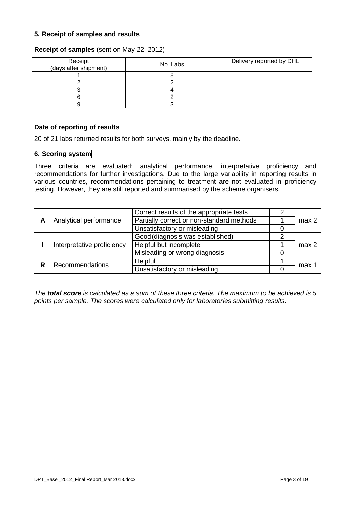#### **5. Receipt of samples and results**

#### **Receipt of samples** (sent on May 22, 2012)

| Receipt<br>(days after shipment) | No. Labs | Delivery reported by DHL |
|----------------------------------|----------|--------------------------|
|                                  |          |                          |
|                                  |          |                          |
|                                  |          |                          |
|                                  |          |                          |
|                                  |          |                          |

#### **Date of reporting of results**

20 of 21 labs returned results for both surveys, mainly by the deadline.

## **6. Scoring system**

Three criteria are evaluated: analytical performance, interpretative proficiency and recommendations for further investigations. Due to the large variability in reporting results in various countries, recommendations pertaining to treatment are not evaluated in proficiency testing. However, they are still reported and summarised by the scheme organisers.

|                            |                               | Correct results of the appropriate tests  |                  |
|----------------------------|-------------------------------|-------------------------------------------|------------------|
| А                          | Analytical performance        | Partially correct or non-standard methods | max <sub>2</sub> |
|                            |                               | Unsatisfactory or misleading              |                  |
|                            |                               | Good (diagnosis was established)          |                  |
| Interpretative proficiency | Helpful but incomplete        | max <sub>2</sub>                          |                  |
|                            | Misleading or wrong diagnosis |                                           |                  |
|                            | Recommendations               | Helpful                                   | max 1            |
|                            |                               | Unsatisfactory or misleading              |                  |

The **total score** is calculated as a sum of these three criteria. The maximum to be achieved is 5 points per sample. The scores were calculated only for laboratories submitting results.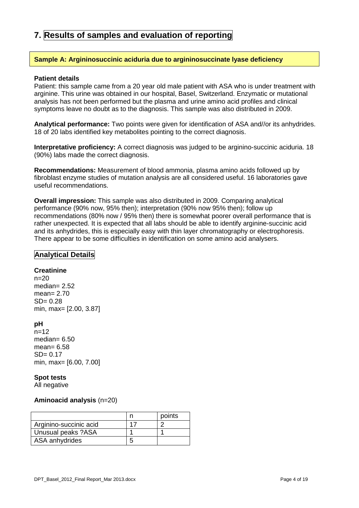## **7. Results of samples and evaluation of reporting**

#### **Sample A: Argininosuccinic aciduria due to argininosuccinate lyase deficiency**

#### **Patient details**

Patient: this sample came from a 20 year old male patient with ASA who is under treatment with arginine. This urine was obtained in our hospital, Basel, Switzerland. Enzymatic or mutational analysis has not been performed but the plasma and urine amino acid profiles and clinical symptoms leave no doubt as to the diagnosis. This sample was also distributed in 2009.

**Analytical performance:** Two points were given for identification of ASA and//or its anhydrides. 18 of 20 labs identified key metabolites pointing to the correct diagnosis.

**Interpretative proficiency:** A correct diagnosis was judged to be arginino-succinic aciduria. 18 (90%) labs made the correct diagnosis.

**Recommendations:** Measurement of blood ammonia, plasma amino acids followed up by fibroblast enzyme studies of mutation analysis are all considered useful. 16 laboratories gave useful recommendations.

**Overall impression:** This sample was also distributed in 2009. Comparing analytical performance (90% now, 95% then); interpretation (90% now 95% then); follow up recommendations (80% now / 95% then) there is somewhat poorer overall performance that is rather unexpected. It is expected that all labs should be able to identify arginine-succinic acid and its anhydrides, this is especially easy with thin layer chromatography or electrophoresis. There appear to be some difficulties in identification on some amino acid analysers.

#### **Analytical Details**

#### **Creatinine**

 $n=20$ median= 2.52 mean= 2.70  $SD = 0.28$ min, max= [2.00, 3.87]

#### **pH**

 $n=12$ median= 6.50 mean= 6.58  $SD = 0.17$ min, max= [6.00, 7.00]

#### **Spot tests**

All negative

#### **Aminoacid analysis** (n=20)

|                        | points |
|------------------------|--------|
| Arginino-succinic acid |        |
| Unusual peaks ?ASA     |        |
| ASA anhydrides         |        |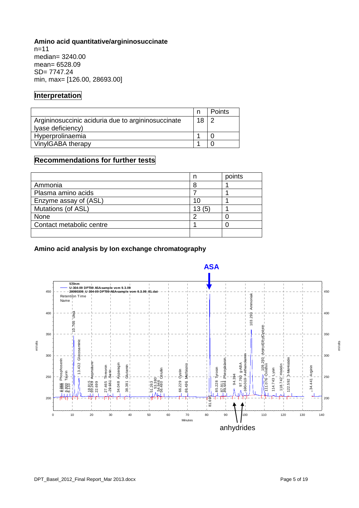## **Amino acid quantitative/argininosuccinate**

 $n=11$ median= 3240.00 mean= 6528.09 SD= 7747.24 min, max= [126.00, 28693.00]

## **Interpretation**

|                                                                         |    | <b>Points</b> |
|-------------------------------------------------------------------------|----|---------------|
| Argininosuccinic aciduria due to argininosuccinate<br>Iyase deficiency) | 18 |               |
| Hyperprolinaemia                                                        |    |               |
| VinylGABA therapy                                                       |    |               |

## **Recommendations for further tests**

|                          |       | points |
|--------------------------|-------|--------|
| Ammonia                  |       |        |
| Plasma amino acids       |       |        |
| Enzyme assay of (ASL)    | 10    |        |
| Mutations (of ASL)       | 13(5) |        |
| None                     |       |        |
| Contact metabolic centre |       |        |
|                          |       |        |

#### **Amino acid analysis by Ion exchange chromatography**

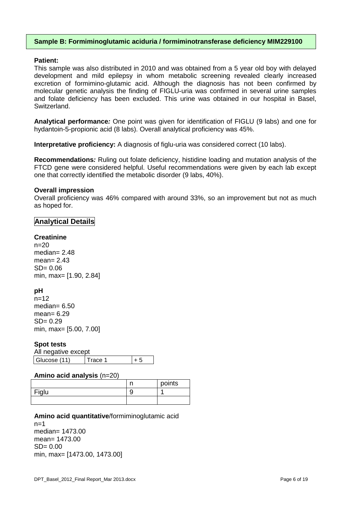#### **Sample B: Formiminoglutamic aciduria / formiminotransferase deficiency MIM229100**

#### **Patient:**

This sample was also distributed in 2010 and was obtained from a 5 year old boy with delayed development and mild epilepsy in whom metabolic screening revealed clearly increased excretion of formimino-glutamic acid. Although the diagnosis has not been confirmed by molecular genetic analysis the finding of FIGLU-uria was confirmed in several urine samples and folate deficiency has been excluded. This urine was obtained in our hospital in Basel, Switzerland.

**Analytical performance:** One point was given for identification of FIGLU (9 labs) and one for hydantoin-5-propionic acid (8 labs). Overall analytical proficiency was 45%.

**Interpretative proficiency:** A diagnosis of figlu-uria was considered correct (10 labs).

**Recommendations:** Ruling out folate deficiency, histidine loading and mutation analysis of the FTCD gene were considered helpful. Useful recommendations were given by each lab except one that correctly identified the metabolic disorder (9 labs, 40%).

#### **Overall impression**

Overall proficiency was 46% compared with around 33%, so an improvement but not as much as hoped for.

#### **Analytical Details**

#### **Creatinine**

 $n=20$ median= 2.48 mean= 2.43  $SD = 0.06$ min, max= [1.90, 2.84]

#### **pH**

 $n=12$ median= 6.50 mean= 6.29  $SD = 0.29$ min, max= [5.00, 7.00]

#### **Spot tests**

All negative except Glucose (11)  $\boxed{\text{Trace 1}}$   $\boxed{+5}$ 

#### **Amino acid analysis** (n=20)

|       | ж. | points |
|-------|----|--------|
| Figlu |    |        |
|       |    |        |

#### **Amino acid quantitative**/formiminoglutamic acid

 $n=1$ median= 1473.00 mean= 1473.00  $SD = 0.00$ min, max= [1473.00, 1473.00]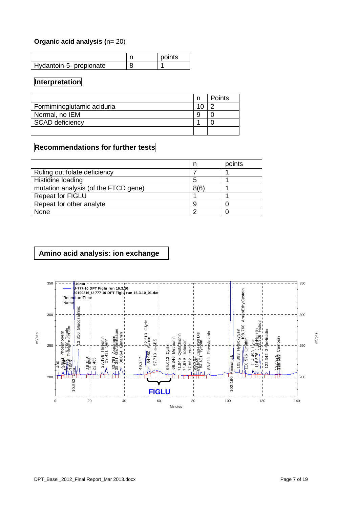#### **Organic acid analysis (n= 20)**

|                         | points |
|-------------------------|--------|
| Hydantoin-5- propionate |        |

## **Interpretation**

|                            | <b>Points</b> |
|----------------------------|---------------|
| Formiminoglutamic aciduria |               |
| Normal, no IEM             |               |
| <b>SCAD deficiency</b>     |               |
|                            |               |

## **Recommendations for further tests**

|                                      |      | points |
|--------------------------------------|------|--------|
| Ruling out folate deficiency         |      |        |
| Histidine loading                    |      |        |
| mutation analysis (of the FTCD gene) | 8(6) |        |
| <b>Repeat for FIGLU</b>              |      |        |
| Repeat for other analyte             |      |        |
| None                                 |      |        |

## **Amino acid analysis: ion exchange**

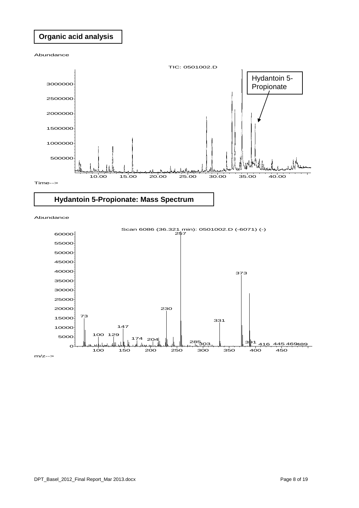## **Organic acid analysis**

Abundance



## **Hydantoin 5-Propionate: Mass Spectrum**

Abundance



 $m/z \rightarrow$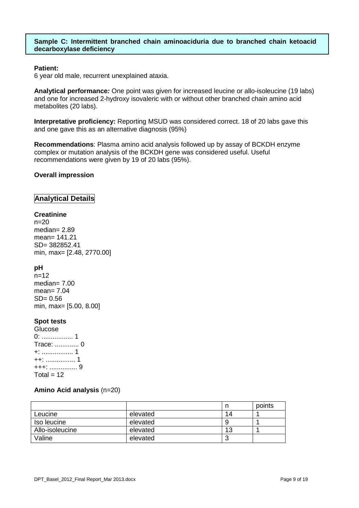#### **Sample C: Intermittent branched chain aminoaciduria due to branched chain ketoacid decarboxylase deficiency**

#### **Patient:**

6 year old male, recurrent unexplained ataxia.

**Analytical performance:** One point was given for increased leucine or allo-isoleucine (19 labs) and one for increased 2-hydroxy isovaleric with or without other branched chain amino acid metabolites (20 labs).

**Interpretative proficiency:** Reporting MSUD was considered correct. 18 of 20 labs gave this and one gave this as an alternative diagnosis (95%)

**Recommendations**: Plasma amino acid analysis followed up by assay of BCKDH enzyme complex or mutation analysis of the BCKDH gene was considered useful. Useful recommendations were given by 19 of 20 labs (95%).

#### **Overall impression**

#### **Analytical Details**

#### **Creatinine**

 $n=20$ median= 2.89 mean= 141.21 SD= 382852.41 min, max= [2.48, 2770.00]

#### **pH**

 $n=12$ median=  $7.00$ mean= 7.04  $SD = 0.56$ min, max= [5.00, 8.00]

#### **Spot tests**

Glucose 0: ................. 1 Trace: ............. 0 +: ................. 1 ++: ................ 1 +++: ............... 9  $Total = 12$ 

#### **Amino Acid analysis** (n=20)

|                 |          |    | points |
|-----------------|----------|----|--------|
| Leucine         | elevated | 14 |        |
| Iso leucine     | elevated |    |        |
| Allo-isoleucine | elevated | 13 |        |
| Valine          | elevated | ື  |        |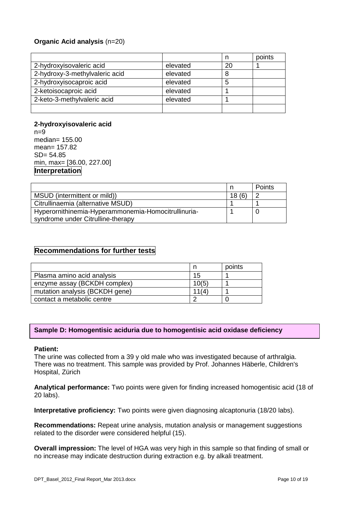#### **Organic Acid analysis** (n=20)

|                                |          |    | points |
|--------------------------------|----------|----|--------|
| 2-hydroxyisovaleric acid       | elevated | 20 |        |
| 2-hydroxy-3-methylvaleric acid | elevated | 8  |        |
| 2-hydroxyisocaproic acid       | elevated |    |        |
| 2-ketoisocaproic acid          | elevated |    |        |
| 2-keto-3-methylvaleric acid    | elevated |    |        |
|                                |          |    |        |

**2-hydroxyisovaleric acid**   $n=9$ median= 155.00 mean= 157.82 SD= 54.85 min, max= [36.00, 227.00] **Interpretation** 

|                                                     |       | Points |
|-----------------------------------------------------|-------|--------|
| MSUD (intermittent or mild))                        | 18(6) |        |
| Citrullinaemia (alternative MSUD)                   |       |        |
| Hyperornithinemia-Hyperammonemia-Homocitrullinuria- |       |        |
| syndrome under Citrulline-therapy                   |       |        |

#### **Recommendations for further tests**

|                                |       | points |
|--------------------------------|-------|--------|
| Plasma amino acid analysis     | 15    |        |
| enzyme assay (BCKDH complex)   | 10(5) |        |
| mutation analysis (BCKDH gene) | 11(4) |        |
| contact a metabolic centre     |       |        |

#### **Sample D: Homogentisic aciduria due to homogentisic acid oxidase deficiency**

#### **Patient:**

The urine was collected from a 39 y old male who was investigated because of arthralgia. There was no treatment. This sample was provided by Prof. Johannes Häberle, Children's Hospital, Zürich

**Analytical performance:** Two points were given for finding increased homogentisic acid (18 of 20 labs).

**Interpretative proficiency:** Two points were given diagnosing alcaptonuria (18/20 labs).

**Recommendations:** Repeat urine analysis, mutation analysis or management suggestions related to the disorder were considered helpful (15).

**Overall impression:** The level of HGA was very high in this sample so that finding of small or no increase may indicate destruction during extraction e.g. by alkali treatment.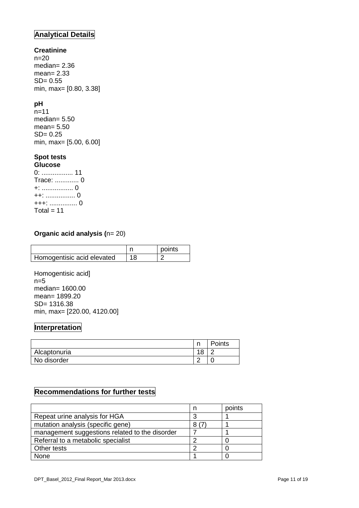## **Analytical Details**

#### **Creatinine**

 $n=20$ median= 2.36 mean= 2.33 SD= 0.55 min, max= [0.80, 3.38]

#### **pH**

n=11 median= 5.50 mean= 5.50 SD= 0.25 min, max= [5.00, 6.00]

## **Spot tests**

**Glucose**  0: ................. 11 Trace: ............. 0 +: ................. 0 ++: ................ 0 +++: ............... 0 Total =  $11$ 

#### **Organic acid analysis (n= 20)**

|                            |    | points |
|----------------------------|----|--------|
| Homogentisic acid elevated | 18 |        |

Homogentisic acid]  $n=5$ median= 1600.00 mean= 1899.20 SD= 1316.38 min, max= [220.00, 4120.00]

## **Interpretation**

|              | ∽               | Points |
|--------------|-----------------|--------|
| Alcaptonuria | 40<br>u         |        |
| No disorder  | $\sqrt{2}$<br>_ |        |

## **Recommendations for further tests**

|                                                | points |
|------------------------------------------------|--------|
| Repeat urine analysis for HGA                  |        |
| mutation analysis (specific gene)              |        |
| management suggestions related to the disorder |        |
| Referral to a metabolic specialist             |        |
| Other tests                                    |        |
| None                                           |        |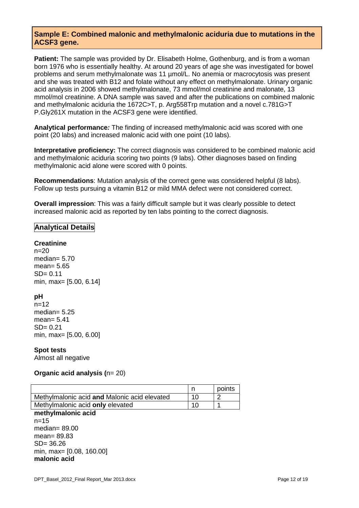#### **Sample E: Combined malonic and methylmalonic aciduria due to mutations in the ACSF3 gene.**

**Patient:** The sample was provided by Dr. Elisabeth Holme, Gothenburg, and is from a woman born 1976 who is essentially healthy. At around 20 years of age she was investigated for bowel problems and serum methylmalonate was 11 µmol/L. No anemia or macrocytosis was present and she was treated with B12 and folate without any effect on methylmalonate. Urinary organic acid analysis in 2006 showed methylmalonate, 73 mmol/mol creatinine and malonate, 13 mmol/mol creatinine. A DNA sample was saved and after the publications on combined malonic and methylmalonic aciduria the 1672C>T, p. Arg558Trp mutation and a novel c.781G>T P.Gly261X mutation in the ACSF3 gene were identified.

**Analytical performance:** The finding of increased methylmalonic acid was scored with one point (20 labs) and increased malonic acid with one point (10 labs).

**Interpretative proficiency:** The correct diagnosis was considered to be combined malonic acid and methylmalonic aciduria scoring two points (9 labs). Other diagnoses based on finding methylmalonic acid alone were scored with 0 points.

**Recommendations**: Mutation analysis of the correct gene was considered helpful (8 labs). Follow up tests pursuing a vitamin B12 or mild MMA defect were not considered correct.

**Overall impression**: This was a fairly difficult sample but it was clearly possible to detect increased malonic acid as reported by ten labs pointing to the correct diagnosis.

#### **Analytical Details**

#### **Creatinine**

 $n=20$ median= 5.70 mean= 5.65  $SD = 0.11$ min, max= [5.00, 6.14]

## **pH**

 $n=12$ median=  $5.25$ mean= 5.41 SD= 0.21 min, max= [5.00, 6.00]

#### **Spot tests**

Almost all negative

#### **Organic acid analysis (n= 20)**

|                                              |     | points |
|----------------------------------------------|-----|--------|
| Methylmalonic acid and Malonic acid elevated | 1 N |        |
| Methylmalonic acid only elevated             | 1 C |        |
|                                              |     |        |

## **methylmalonic acid**

 $n=15$ median= 89.00 mean= 89.83 SD= 36.26 min, max= [0.08, 160.00] **malonic acid**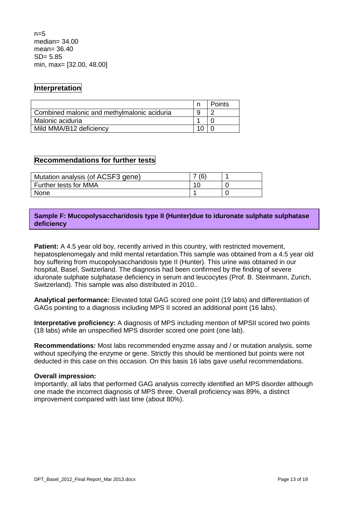$n=5$ median= 34.00 mean= 36.40 SD= 5.85 min, max= [32.00, 48.00]

## **Interpretation**

|                                             | <b>Points</b> |
|---------------------------------------------|---------------|
| Combined malonic and methylmalonic aciduria |               |
| Malonic aciduria                            |               |
| Mild MMA/B12 deficiency                     |               |

## **Recommendations for further tests**

| Mutation analysis (of ACSF3 gene) | (6) |  |
|-----------------------------------|-----|--|
| Further tests for MMA             |     |  |
| <b>None</b>                       |     |  |

#### **Sample F: Mucopolysaccharidosis type II (Hunter)due to iduronate sulphate sulphatase deficiency**

**Patient:** A 4.5 year old boy, recently arrived in this country, with restricted movement, hepatosplenomegaly and mild mental retardation.This sample was obtained from a 4.5 year old boy suffering from mucopolysaccharidosis type II (Hunter). This urine was obtained in our hospital, Basel, Switzerland. The diagnosis had been confirmed by the finding of severe iduronate sulphate sulphatase deficiency in serum and leucocytes (Prof. B. Steinmann, Zurich, Switzerland). This sample was also distributed in 2010..

**Analytical performance:** Elevated total GAG scored one point (19 labs) and differentiation of GAGs pointing to a diagnosis including MPS II scored an additional point (16 labs).

**Interpretative proficiency:** A diagnosis of MPS including mention of MPSII scored two points (18 labs) while an unspecified MPS disorder scored one point (one lab).

**Recommendations:** Most labs recommended enyzme assay and / or mutation analysis, some without specifying the enzyme or gene. Strictly this should be mentioned but points were not deducted in this case on this occasion. On this basis 16 labs gave useful recommendations.

#### **Overall impression:**

Importantly, all labs that performed GAG analysis correctly identified an MPS disorder although one made the incorrect diagnosis of MPS three. Overall proficiency was 89%, a distinct improvement compared with last time (about 80%).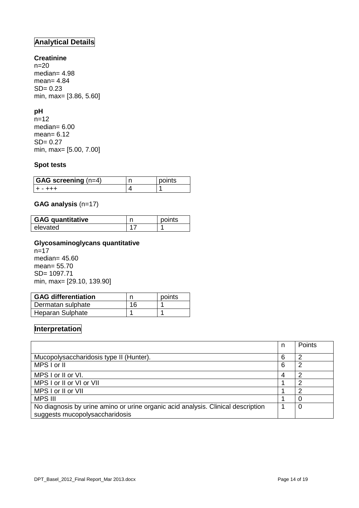## **Analytical Details**

#### **Creatinine**

n=20 median= 4.98 mean= 4.84 SD= 0.23 min, max= [3.86, 5.60]

## **pH**

n=12 median= 6.00 mean= 6.12 SD= 0.27 min, max= [5.00, 7.00]

#### **Spot tests**

| $GAG$ screening $(n=4)$ | points |
|-------------------------|--------|
| -----                   |        |

#### **GAG analysis** (n=17)

| <b>GAG quantitative</b> | points |
|-------------------------|--------|
| elevated                |        |

#### **Glycosaminoglycans quantitative**

n=17 median= 45.60 mean= 55.70 SD= 1097.71 min, max= [29.10, 139.90]

| <b>GAG differentiation</b> |    | points |
|----------------------------|----|--------|
| Dermatan sulphate          | 16 |        |
| Heparan Sulphate           |    |        |

## **Interpretation**

|                                                                                                                    | n | Points |
|--------------------------------------------------------------------------------------------------------------------|---|--------|
| Mucopolysaccharidosis type II (Hunter).                                                                            | 6 | 2      |
| MPS I or II                                                                                                        | 6 | 2      |
| MPS I or II or VI.                                                                                                 | 4 | 2      |
| MPS I or II or VI or VII                                                                                           |   | 2      |
| MPS I or II or VII                                                                                                 |   | າ      |
| <b>MPS III</b>                                                                                                     |   | 0      |
| No diagnosis by urine amino or urine organic acid analysis. Clinical description<br>suggests mucopolysaccharidosis |   | 0      |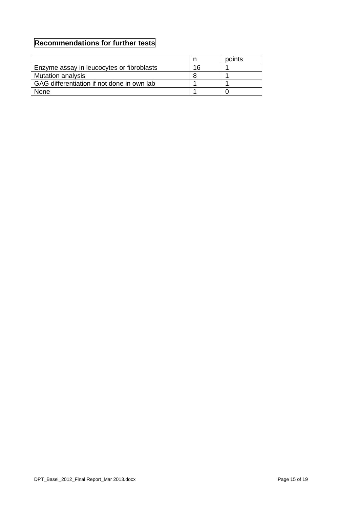## **Recommendations for further tests**

|                                            |    | points |
|--------------------------------------------|----|--------|
| Enzyme assay in leucocytes or fibroblasts  | 16 |        |
| <b>Mutation analysis</b>                   |    |        |
| GAG differentiation if not done in own lab |    |        |
| <b>None</b>                                |    |        |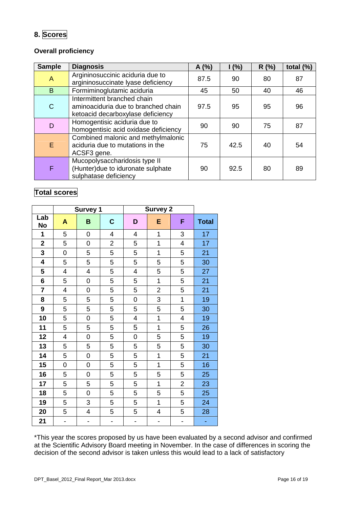## **8. Scores**

## **Overall proficiency**

| <b>Sample</b>  | <b>Diagnosis</b>                                                                                        | A(%) | 1(%) | R(%) | total $(\%)$ |
|----------------|---------------------------------------------------------------------------------------------------------|------|------|------|--------------|
| $\overline{A}$ | Argininosuccinic aciduria due to<br>argininosuccinate lyase deficiency                                  | 87.5 | 90   | 80   | 87           |
| B              | Formiminoglutamic aciduria                                                                              | 45   | 50   | 40   | 46           |
| $\mathsf{C}$   | Intermittent branched chain<br>aminoaciduria due to branched chain<br>ketoacid decarboxylase deficiency | 97.5 | 95   | 95   | 96           |
| D              | Homogentisic aciduria due to<br>homogentisic acid oxidase deficiency                                    | 90   | 90   | 75   | 87           |
| E              | Combined malonic and methylmalonic<br>aciduria due to mutations in the<br>ACSF3 gene.                   | 75   | 42.5 | 40   | 54           |
| F              | Mucopolysaccharidosis type II<br>(Hunter)due to iduronate sulphate<br>sulphatase deficiency             | 90   | 92.5 | 80   | 89           |

## **Total scores**

|                         |                          | <b>Survey 1</b> |                          |                          | <b>Survey 2</b> |                |              |
|-------------------------|--------------------------|-----------------|--------------------------|--------------------------|-----------------|----------------|--------------|
| Lab<br>No               | A                        | B               | $\mathbf C$              | D                        | E               | F              | <b>Total</b> |
| 1                       | 5                        | $\mathbf 0$     | 4                        | 4                        | 1               | 3              | 17           |
| $\overline{\mathbf{2}}$ | 5                        | 0               | $\overline{c}$           | 5                        | 1               | 4              | 17           |
| 3                       | 0                        | 5               | 5                        | 5                        | 1               | 5              | 21           |
| 4                       | 5                        | 5               | 5                        | 5                        | 5               | 5              | 30           |
| 5                       | 4                        | 4               | 5                        | 4                        | 5               | 5              | 27           |
| 6                       | 5                        | 0               | 5                        | 5                        | 1               | 5              | 21           |
| 7                       | 4                        | 0               | 5                        | 5                        | $\overline{c}$  | 5              | 21           |
| 8                       | 5                        | 5               | 5                        | 0                        | 3               | 1              | 19           |
| 9                       | 5                        | 5               | 5                        | 5                        | 5               | 5              | 30           |
| 10                      | 5                        | $\mathbf 0$     | 5                        | 4                        | 1               | 4              | 19           |
| 11                      | 5                        | 5               | 5                        | 5                        | 1               | 5              | 26           |
| 12                      | 4                        | $\mathbf 0$     | 5                        | 0                        | 5               | 5              | 19           |
| 13                      | 5                        | 5               | 5                        | 5                        | 5               | 5              | 30           |
| 14                      | 5                        | 0               | 5                        | 5                        | 1               | 5              | 21           |
| 15                      | 0                        | $\mathbf 0$     | 5                        | 5                        | 1               | 5              | 16           |
| 16                      | 5                        | 0               | 5                        | 5                        | 5               | 5              | 25           |
| 17                      | 5                        | 5               | 5                        | 5                        | 1               | $\overline{2}$ | 23           |
| 18                      | 5                        | $\mathbf 0$     | 5                        | 5                        | 5               | 5              | 25           |
| 19                      | 5                        | 3               | 5                        | 5                        | $\overline{1}$  | 5              | 24           |
| 20                      | 5                        | 4               | 5                        | 5                        | 4               | 5              | 28           |
| 21                      | $\overline{\phantom{0}}$ | $\blacksquare$  | $\overline{\phantom{0}}$ | $\overline{\phantom{0}}$ | $\overline{a}$  | $\overline{a}$ | ÷            |

\*This year the scores proposed by us have been evaluated by a second advisor and confirmed at the Scientific Advisory Board meeting in November. In the case of differences in scoring the decision of the second advisor is taken unless this would lead to a lack of satisfactory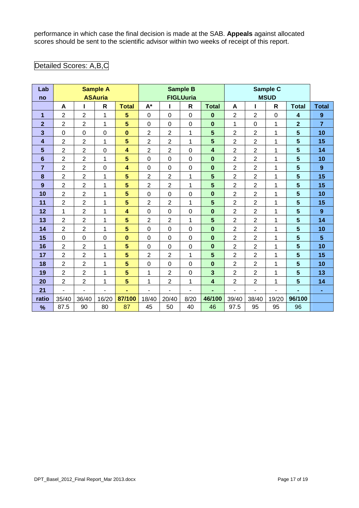performance in which case the final decision is made at the SAB. **Appeals** against allocated scores should be sent to the scientific advisor within two weeks of receipt of this report.

## Detailed Scores: A,B,C

| Lab                     |                | <b>Sample A</b><br><b>ASAuria</b> |       |                         |                  |                          | <b>Sample B</b>  |                         |                |                | Sample C       |                         |                  |
|-------------------------|----------------|-----------------------------------|-------|-------------------------|------------------|--------------------------|------------------|-------------------------|----------------|----------------|----------------|-------------------------|------------------|
| no                      |                |                                   |       |                         | <b>FIGLUuria</b> |                          |                  |                         |                | <b>MSUD</b>    |                |                         |                  |
|                         | A              |                                   | R     | <b>Total</b>            | $A^*$            | ш                        | $\mathsf{R}$     | <b>Total</b>            | A              |                | $\mathsf{R}$   | <b>Total</b>            | <b>Total</b>     |
| 1                       | $\overline{2}$ | $\overline{2}$                    | 1     | 5                       | $\mathbf 0$      | 0                        | $\mathbf 0$      | $\bf{0}$                | $\overline{2}$ | $\overline{2}$ | $\mathbf 0$    | $\overline{\mathbf{4}}$ | $\boldsymbol{9}$ |
| $\overline{2}$          | $\overline{2}$ | $\overline{2}$                    | 1     | $\overline{\mathbf{5}}$ | $\mathbf 0$      | 0                        | $\boldsymbol{0}$ | $\bf{0}$                | 1              | 0              | 1              | $\overline{2}$          | $\overline{7}$   |
| $\overline{\mathbf{3}}$ | $\mathbf 0$    | $\mathbf 0$                       | 0     | $\bf{0}$                | $\overline{2}$   | $\overline{c}$           | 1                | $5\phantom{1}$          | $\overline{2}$ | $\overline{2}$ | 1              | $5\phantom{1}$          | 10               |
| 4                       | $\overline{c}$ | $\overline{c}$                    | 1     | 5                       | $\overline{2}$   | $\overline{c}$           | $\mathbf 1$      | $5\phantom{1}$          | $\overline{2}$ | $\overline{2}$ | 1              | 5                       | 15               |
| 5                       | $\overline{2}$ | $\overline{2}$                    | 0     | $\overline{\mathbf{4}}$ | $\overline{2}$   | $\overline{c}$           | $\mathbf 0$      | $\overline{\mathbf{4}}$ | $\overline{2}$ | $\overline{2}$ | 1              | 5                       | 14               |
| 6                       | $\overline{2}$ | $\overline{2}$                    | 1     | $\overline{\mathbf{5}}$ | $\mathbf 0$      | 0                        | $\boldsymbol{0}$ | $\mathbf 0$             | $\overline{2}$ | $\overline{2}$ | 1              | $5\phantom{.}$          | 10               |
| 7                       | $\overline{2}$ | $\overline{2}$                    | 0     | $\overline{\mathbf{4}}$ | $\mathbf 0$      | 0                        | $\boldsymbol{0}$ | $\bf{0}$                | $\overline{2}$ | $\overline{2}$ | 1              | $5\phantom{1}$          | 9                |
| 8                       | $\overline{2}$ | $\overline{2}$                    | 1     | $\overline{\mathbf{5}}$ | $\overline{2}$   | $\overline{2}$           | 1                | 5                       | $\overline{2}$ | $\overline{2}$ | 1              | $\overline{\mathbf{5}}$ | 15               |
| 9                       | $\overline{2}$ | $\overline{c}$                    | 1     | 5                       | $\overline{2}$   | $\overline{2}$           | 1                | $5\phantom{1}$          | $\overline{2}$ | $\overline{2}$ | 1              | $\overline{\mathbf{5}}$ | 15               |
| 10                      | $\overline{2}$ | $\overline{c}$                    | 1     | 5                       | $\mathbf 0$      | 0                        | $\boldsymbol{0}$ | $\bf{0}$                | $\overline{2}$ | $\overline{2}$ | 1              | $5\phantom{1}$          | 10               |
| 11                      | $\overline{2}$ | $\overline{c}$                    | 1     | 5                       | $\overline{2}$   | $\overline{2}$           | 1                | 5                       | $\overline{2}$ | $\overline{2}$ | 1              | $5\phantom{1}$          | 15               |
| 12                      | 1              | $\overline{c}$                    | 1     | 4                       | $\mathbf 0$      | 0                        | $\mathbf 0$      | $\bf{0}$                | $\overline{2}$ | $\overline{2}$ | 1              | $5\phantom{.0}$         | 9                |
| 13                      | $\overline{2}$ | $\overline{2}$                    | 1     | 5                       | $\overline{2}$   | $\overline{2}$           | $\mathbf 1$      | 5                       | $\overline{2}$ | $\overline{2}$ | 1              | $5\phantom{.0}$         | 14               |
| 14                      | $\overline{2}$ | $\overline{2}$                    | 1     | 5                       | $\mathbf 0$      | 0                        | $\mathbf 0$      | $\bf{0}$                | $\overline{2}$ | $\overline{2}$ | 1              | 5                       | 10               |
| 15                      | $\mathbf 0$    | $\mathbf 0$                       | 0     | $\mathbf{0}$            | $\mathbf 0$      | 0                        | $\mathbf 0$      | $\mathbf 0$             | $\overline{2}$ | $\overline{2}$ | 1              | 5                       | $5\phantom{.0}$  |
| 16                      | $\overline{2}$ | $\overline{2}$                    | 1     | 5                       | $\mathbf 0$      | 0                        | $\boldsymbol{0}$ | $\bf{0}$                | $\overline{2}$ | $\overline{2}$ | 1              | $5\phantom{.0}$         | 10               |
| 17                      | $\overline{2}$ | $\overline{c}$                    | 1     | 5                       | $\overline{2}$   | $\overline{2}$           | 1                | $5\phantom{1}$          | $\overline{2}$ | $\overline{2}$ | 1              | 5                       | 15               |
| 18                      | 2              | $\overline{c}$                    | 1     | 5                       | 0                | 0                        | $\boldsymbol{0}$ | $\bf{0}$                | $\overline{c}$ | $\overline{2}$ | 1              | 5                       | 10               |
| 19                      | $\overline{2}$ | $\overline{2}$                    | 1     | 5                       | 1                | $\overline{c}$           | $\boldsymbol{0}$ | $\overline{\mathbf{3}}$ | $\overline{2}$ | $\overline{2}$ | 1              | 5                       | 13               |
| 20                      | $\overline{2}$ | $\overline{2}$                    | 1     | 5                       | 1                | $\overline{2}$           | 1                | $\overline{\mathbf{4}}$ | $\overline{2}$ | $\overline{2}$ | 1              | $5\phantom{1}$          | 14               |
| 21                      | L.             | ä,                                | L,    | ä,                      | L.               | $\overline{\phantom{a}}$ | ä,               |                         | $\overline{a}$ | L.             | $\overline{a}$ | ٠                       | ٠                |
| ratio                   | 35/40          | 36/40                             | 16/20 | 87/100                  | 18/40            | 20/40                    | 8/20             | 46/100                  | 39/40          | 38/40          | 19/20          | 96/100                  |                  |
| %                       | 87.5           | 90                                | 80    | 87                      | 45               | 50                       | 40               | 46                      | 97.5           | 95             | 95             | 96                      |                  |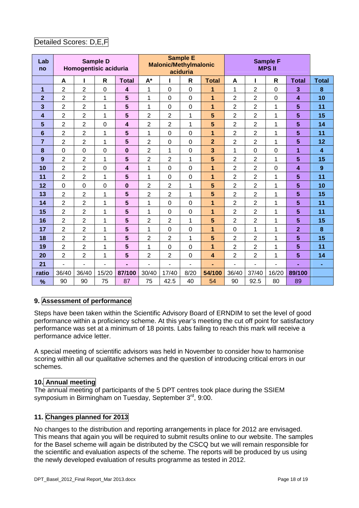## Detailed Scores: D,E,F

| Lab<br>no      |                | Homogentisic aciduria | <b>Sample D</b> |                         | <b>Sample E</b><br><b>Malonic/Methylmalonic</b><br>aciduria |                          |                  |                |                | <b>Sample F</b><br><b>MPSII</b> |                          |                         |                         |
|----------------|----------------|-----------------------|-----------------|-------------------------|-------------------------------------------------------------|--------------------------|------------------|----------------|----------------|---------------------------------|--------------------------|-------------------------|-------------------------|
|                | A              | ı                     | $\mathsf{R}$    | <b>Total</b>            | $A^*$                                                       | I                        | $\mathsf{R}$     | <b>Total</b>   | A              |                                 | $\mathsf{R}$             | <b>Total</b>            | <b>Total</b>            |
| $\mathbf 1$    | $\overline{2}$ | $\overline{2}$        | 0               | $\overline{\mathbf{4}}$ | 1                                                           | $\mathbf 0$              | $\overline{0}$   | 1              | 1              | $\overline{2}$                  | $\mathbf 0$              | 3                       | 8                       |
| $\overline{2}$ | $\overline{2}$ | $\overline{2}$        | 1               | $5\phantom{1}$          | 1                                                           | $\boldsymbol{0}$         | $\boldsymbol{0}$ | 1              | $\overline{2}$ | $\overline{2}$                  | $\mathbf 0$              | $\overline{\mathbf{4}}$ | 10                      |
| 3              | $\overline{2}$ | $\overline{2}$        | 1               | $5\phantom{1}$          | 1                                                           | $\mathbf 0$              | $\boldsymbol{0}$ | 1              | $\overline{c}$ | $\overline{2}$                  | 1                        | $5\phantom{1}$          | 11                      |
| 4              | $\overline{2}$ | $\overline{2}$        | 1               | $5\phantom{1}$          | $\overline{2}$                                              | $\overline{2}$           | $\mathbf{1}$     | 5              | $\overline{2}$ | $\overline{2}$                  | 1                        | $5\phantom{1}$          | 15                      |
| 5              | $\overline{2}$ | $\overline{2}$        | $\mathbf 0$     | $\overline{\mathbf{4}}$ | $\overline{2}$                                              | $\overline{2}$           | $\mathbf{1}$     | 5              | $\overline{2}$ | $\overline{2}$                  | 1                        | 5                       | 14                      |
| 6              | $\overline{2}$ | $\overline{2}$        | 1               | $5\phantom{1}$          | 1                                                           | $\mathbf 0$              | $\mathbf 0$      | 1              | $\overline{2}$ | $\overline{2}$                  | 1                        | 5                       | 11                      |
| $\overline{7}$ | $\overline{2}$ | $\overline{c}$        | 1               | $5\phantom{1}$          | $\overline{2}$                                              | $\boldsymbol{0}$         | $\mathbf 0$      | $\overline{2}$ | 2              | $\overline{2}$                  | 1                        | 5                       | 12                      |
| 8              | $\mathbf 0$    | $\mathbf 0$           | 0               | $\mathbf 0$             | $\overline{2}$                                              | 1                        | $\mathbf 0$      | 3              | 1              | $\mathbf 0$                     | $\mathbf 0$              | 1                       | $\overline{\mathbf{4}}$ |
| 9              | 2              | $\overline{c}$        | 1               | $5\phantom{1}$          | $\overline{2}$                                              | $\overline{\mathbf{c}}$  | $\mathbf{1}$     | $5\phantom{1}$ | 2              | $\overline{2}$                  | 1                        | $5\phantom{1}$          | 15                      |
| 10             | $\overline{2}$ | $\overline{2}$        | 0               | $\overline{\mathbf{4}}$ | 1                                                           | $\overline{0}$           | $\mathbf 0$      | 1              | $\overline{2}$ | $\overline{2}$                  | $\mathbf 0$              | $\overline{\mathbf{4}}$ | $\boldsymbol{9}$        |
| 11             | $\overline{2}$ | $\overline{2}$        | 1               | $5\phantom{1}$          | 1                                                           | $\mathbf 0$              | $\mathbf 0$      | 1              | $\overline{2}$ | $\overline{2}$                  | 1                        | 5                       | 11                      |
| 12             | $\mathbf 0$    | $\mathbf 0$           | 0               | $\bf{0}$                | $\overline{2}$                                              | $\overline{2}$           | 1                | 5              | $\overline{2}$ | $\overline{2}$                  | 1                        | 5                       | 10                      |
| 13             | $\overline{2}$ | $\overline{2}$        | 1               | $5\phantom{1}$          | $\overline{2}$                                              | $\overline{\mathbf{c}}$  | $\mathbf{1}$     | 5              | $\overline{2}$ | $\overline{2}$                  | 1                        | 5                       | 15                      |
| 14             | $\overline{2}$ | $\overline{c}$        | 1               | 5                       | 1                                                           | $\mathbf 0$              | $\mathbf 0$      | 1              | $\overline{2}$ | $\overline{2}$                  | 1                        | $5\phantom{1}$          | 11                      |
| 15             | $\overline{2}$ | $\overline{2}$        | $\mathbf 1$     | $5\phantom{1}$          | 1                                                           | $\mathbf 0$              | $\mathbf 0$      | 1              | $\overline{2}$ | $\overline{2}$                  | 1                        | 5                       | 11                      |
| 16             | $\overline{2}$ | $\overline{2}$        | 1               | $5\phantom{1}$          | $\overline{2}$                                              | $\overline{2}$           | 1                | 5              | $\overline{2}$ | $\overline{2}$                  | 1                        | 5                       | 15                      |
| 17             | $\overline{2}$ | $\overline{2}$        | 1               | 5                       | 1                                                           | $\mathbf 0$              | $\mathbf 0$      | 1              | $\mathbf 0$    | $\mathbf 1$                     | 1                        | $\overline{2}$          | 8                       |
| 18             | $\overline{2}$ | $\overline{2}$        | 1               | 5                       | $\overline{2}$                                              | $\overline{2}$           | 1                | 5              | $\overline{2}$ | $\overline{2}$                  | 1                        | 5                       | 15                      |
| 19             | $\overline{2}$ | $\overline{2}$        | $\mathbf 1$     | 5                       | 1                                                           | $\mathbf 0$              | $\mathbf 0$      | $\mathbf{1}$   | 2              | $\overline{2}$                  | $\mathbf 1$              | 5                       | 11                      |
| 20             | $\overline{2}$ | $\overline{2}$        | 1               | $5\phantom{1}$          | $\overline{2}$                                              | $\overline{2}$           | $\boldsymbol{0}$ | 4              | $\overline{2}$ | $\overline{2}$                  | $\mathbf 1$              | 5                       | 14                      |
| 21             | $\overline{a}$ | $\frac{1}{2}$         | ä,              | ÷,                      | ä,                                                          | $\overline{\phantom{a}}$ | ä,               | ٠              | $\overline{a}$ | L.                              | $\overline{\phantom{a}}$ | ä,                      | ٠                       |
| ratio          | 36/40          | 36/40                 | 15/20           | 87/100                  | 30/40                                                       | 17/40                    | 8/20             | 54/100         | 36/40          | 37/40                           | 16/20                    | 89/100                  |                         |
| %              | 90             | 90                    | 75              | 87                      | 75                                                          | 42.5                     | 40               | 54             | 90             | 92.5                            | 80                       | 89                      |                         |

## **9. Assessment of performance**

Steps have been taken within the Scientific Advisory Board of ERNDIM to set the level of good performance within a proficiency scheme. At this year's meeting the cut off point for satisfactory performance was set at a minimum of 18 points. Labs failing to reach this mark will receive a performance advice letter.

A special meeting of scientific advisors was held in November to consider how to harmonise scoring within all our qualitative schemes and the question of introducing critical errors in our schemes.

#### **10. Annual meeting**

The annual meeting of participants of the 5 DPT centres took place during the SSIEM symposium in Birmingham on Tuesday, September 3<sup>rd</sup>, 9:00.

#### **11. Changes planned for 2013**

No changes to the distribution and reporting arrangements in place for 2012 are envisaged. This means that again you will be required to submit results online to our website. The samples for the Basel scheme will again be distributed by the CSCQ but we will remain responsible for the scientific and evaluation aspects of the scheme. The reports will be produced by us using the newly developed evaluation of results programme as tested in 2012.